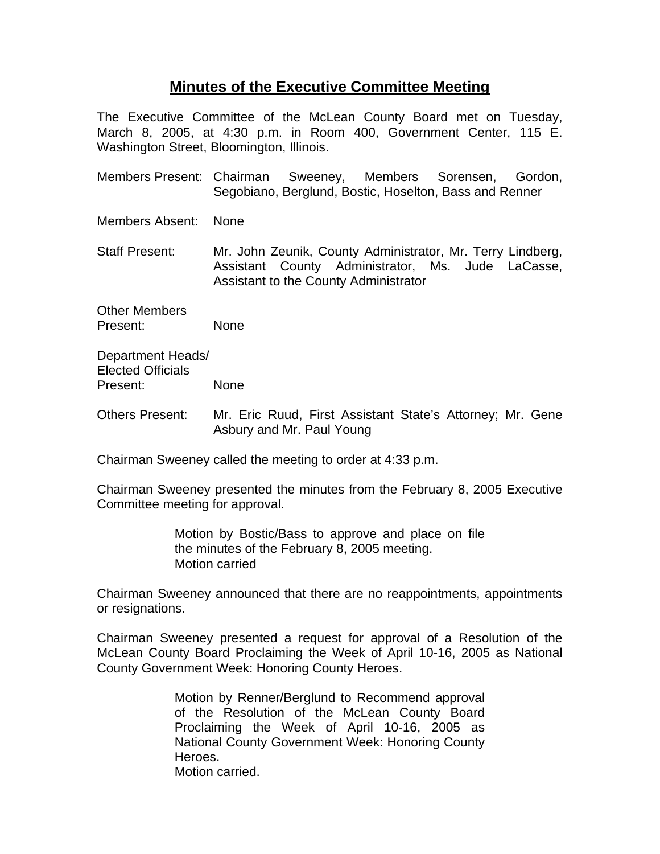## **Minutes of the Executive Committee Meeting**

The Executive Committee of the McLean County Board met on Tuesday, March 8, 2005, at 4:30 p.m. in Room 400, Government Center, 115 E. Washington Street, Bloomington, Illinois.

Members Present: Chairman Sweeney, Members Sorensen, Gordon, Segobiano, Berglund, Bostic, Hoselton, Bass and Renner

Members Absent: None

Staff Present: Mr. John Zeunik, County Administrator, Mr. Terry Lindberg, Assistant County Administrator, Ms. Jude LaCasse, Assistant to the County Administrator

Other Members Present: None

Department Heads/ Elected Officials Present: None

Others Present: Mr. Eric Ruud, First Assistant State's Attorney; Mr. Gene Asbury and Mr. Paul Young

Chairman Sweeney called the meeting to order at 4:33 p.m.

Chairman Sweeney presented the minutes from the February 8, 2005 Executive Committee meeting for approval.

> Motion by Bostic/Bass to approve and place on file the minutes of the February 8, 2005 meeting. Motion carried

Chairman Sweeney announced that there are no reappointments, appointments or resignations.

Chairman Sweeney presented a request for approval of a Resolution of the McLean County Board Proclaiming the Week of April 10-16, 2005 as National County Government Week: Honoring County Heroes.

> Motion by Renner/Berglund to Recommend approval of the Resolution of the McLean County Board Proclaiming the Week of April 10-16, 2005 as National County Government Week: Honoring County Heroes. Motion carried.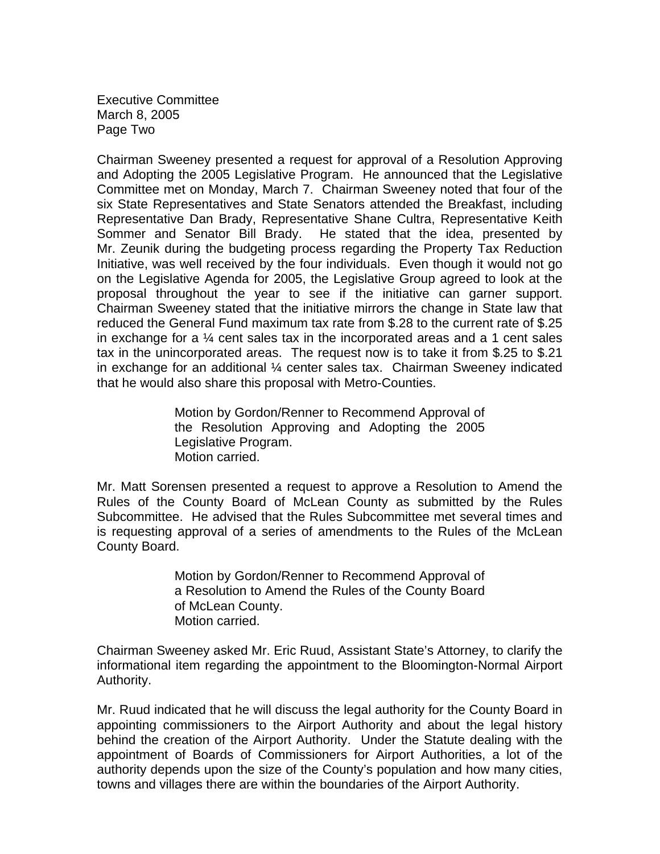Executive Committee March 8, 2005 Page Two

Chairman Sweeney presented a request for approval of a Resolution Approving and Adopting the 2005 Legislative Program. He announced that the Legislative Committee met on Monday, March 7. Chairman Sweeney noted that four of the six State Representatives and State Senators attended the Breakfast, including Representative Dan Brady, Representative Shane Cultra, Representative Keith Sommer and Senator Bill Brady. He stated that the idea, presented by Mr. Zeunik during the budgeting process regarding the Property Tax Reduction Initiative, was well received by the four individuals. Even though it would not go on the Legislative Agenda for 2005, the Legislative Group agreed to look at the proposal throughout the year to see if the initiative can garner support. Chairman Sweeney stated that the initiative mirrors the change in State law that reduced the General Fund maximum tax rate from \$.28 to the current rate of \$.25 in exchange for a  $\frac{1}{4}$  cent sales tax in the incorporated areas and a 1 cent sales tax in the unincorporated areas. The request now is to take it from \$.25 to \$.21 in exchange for an additional ¼ center sales tax. Chairman Sweeney indicated that he would also share this proposal with Metro-Counties.

> Motion by Gordon/Renner to Recommend Approval of the Resolution Approving and Adopting the 2005 Legislative Program. Motion carried.

Mr. Matt Sorensen presented a request to approve a Resolution to Amend the Rules of the County Board of McLean County as submitted by the Rules Subcommittee. He advised that the Rules Subcommittee met several times and is requesting approval of a series of amendments to the Rules of the McLean County Board.

> Motion by Gordon/Renner to Recommend Approval of a Resolution to Amend the Rules of the County Board of McLean County. Motion carried.

Chairman Sweeney asked Mr. Eric Ruud, Assistant State's Attorney, to clarify the informational item regarding the appointment to the Bloomington-Normal Airport Authority.

Mr. Ruud indicated that he will discuss the legal authority for the County Board in appointing commissioners to the Airport Authority and about the legal history behind the creation of the Airport Authority. Under the Statute dealing with the appointment of Boards of Commissioners for Airport Authorities, a lot of the authority depends upon the size of the County's population and how many cities, towns and villages there are within the boundaries of the Airport Authority.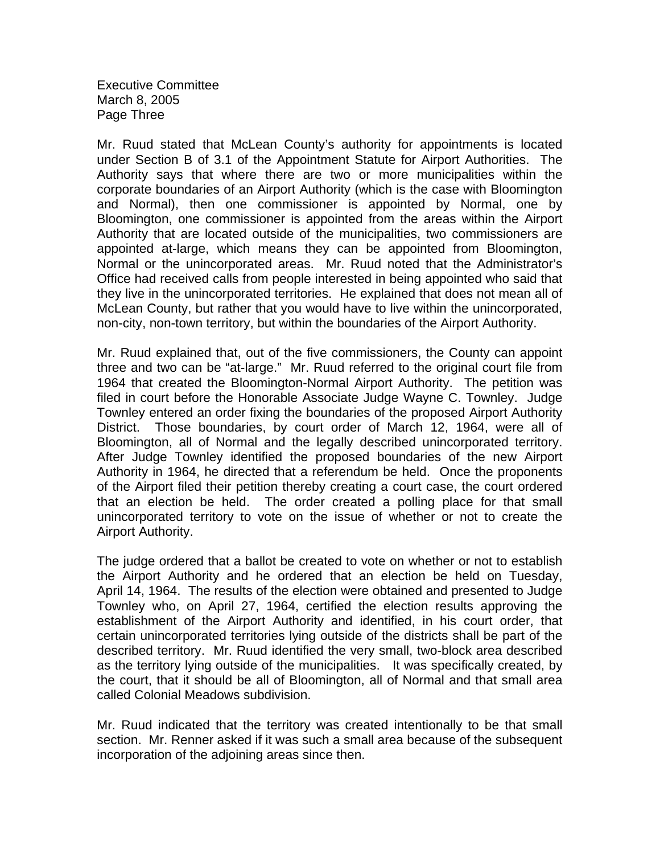Executive Committee March 8, 2005 Page Three

Mr. Ruud stated that McLean County's authority for appointments is located under Section B of 3.1 of the Appointment Statute for Airport Authorities. The Authority says that where there are two or more municipalities within the corporate boundaries of an Airport Authority (which is the case with Bloomington and Normal), then one commissioner is appointed by Normal, one by Bloomington, one commissioner is appointed from the areas within the Airport Authority that are located outside of the municipalities, two commissioners are appointed at-large, which means they can be appointed from Bloomington, Normal or the unincorporated areas. Mr. Ruud noted that the Administrator's Office had received calls from people interested in being appointed who said that they live in the unincorporated territories. He explained that does not mean all of McLean County, but rather that you would have to live within the unincorporated, non-city, non-town territory, but within the boundaries of the Airport Authority.

Mr. Ruud explained that, out of the five commissioners, the County can appoint three and two can be "at-large." Mr. Ruud referred to the original court file from 1964 that created the Bloomington-Normal Airport Authority. The petition was filed in court before the Honorable Associate Judge Wayne C. Townley. Judge Townley entered an order fixing the boundaries of the proposed Airport Authority District. Those boundaries, by court order of March 12, 1964, were all of Bloomington, all of Normal and the legally described unincorporated territory. After Judge Townley identified the proposed boundaries of the new Airport Authority in 1964, he directed that a referendum be held. Once the proponents of the Airport filed their petition thereby creating a court case, the court ordered that an election be held. The order created a polling place for that small unincorporated territory to vote on the issue of whether or not to create the Airport Authority.

The judge ordered that a ballot be created to vote on whether or not to establish the Airport Authority and he ordered that an election be held on Tuesday, April 14, 1964. The results of the election were obtained and presented to Judge Townley who, on April 27, 1964, certified the election results approving the establishment of the Airport Authority and identified, in his court order, that certain unincorporated territories lying outside of the districts shall be part of the described territory. Mr. Ruud identified the very small, two-block area described as the territory lying outside of the municipalities. It was specifically created, by the court, that it should be all of Bloomington, all of Normal and that small area called Colonial Meadows subdivision.

Mr. Ruud indicated that the territory was created intentionally to be that small section. Mr. Renner asked if it was such a small area because of the subsequent incorporation of the adjoining areas since then.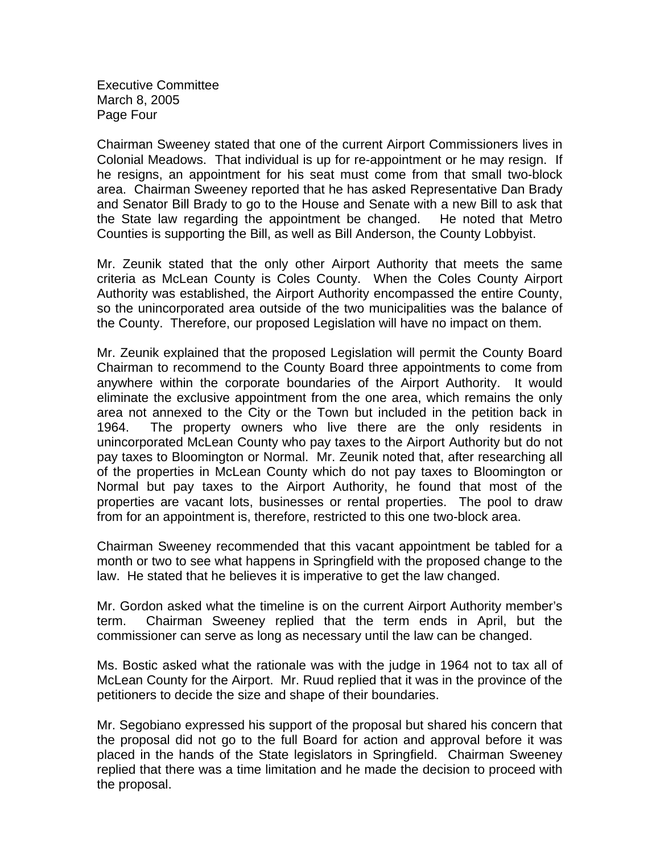Executive Committee March 8, 2005 Page Four

Chairman Sweeney stated that one of the current Airport Commissioners lives in Colonial Meadows. That individual is up for re-appointment or he may resign. If he resigns, an appointment for his seat must come from that small two-block area. Chairman Sweeney reported that he has asked Representative Dan Brady and Senator Bill Brady to go to the House and Senate with a new Bill to ask that the State law regarding the appointment be changed. He noted that Metro Counties is supporting the Bill, as well as Bill Anderson, the County Lobbyist.

Mr. Zeunik stated that the only other Airport Authority that meets the same criteria as McLean County is Coles County. When the Coles County Airport Authority was established, the Airport Authority encompassed the entire County, so the unincorporated area outside of the two municipalities was the balance of the County. Therefore, our proposed Legislation will have no impact on them.

Mr. Zeunik explained that the proposed Legislation will permit the County Board Chairman to recommend to the County Board three appointments to come from anywhere within the corporate boundaries of the Airport Authority. It would eliminate the exclusive appointment from the one area, which remains the only area not annexed to the City or the Town but included in the petition back in 1964. The property owners who live there are the only residents in unincorporated McLean County who pay taxes to the Airport Authority but do not pay taxes to Bloomington or Normal. Mr. Zeunik noted that, after researching all of the properties in McLean County which do not pay taxes to Bloomington or Normal but pay taxes to the Airport Authority, he found that most of the properties are vacant lots, businesses or rental properties. The pool to draw from for an appointment is, therefore, restricted to this one two-block area.

Chairman Sweeney recommended that this vacant appointment be tabled for a month or two to see what happens in Springfield with the proposed change to the law. He stated that he believes it is imperative to get the law changed.

Mr. Gordon asked what the timeline is on the current Airport Authority member's term. Chairman Sweeney replied that the term ends in April, but the commissioner can serve as long as necessary until the law can be changed.

Ms. Bostic asked what the rationale was with the judge in 1964 not to tax all of McLean County for the Airport. Mr. Ruud replied that it was in the province of the petitioners to decide the size and shape of their boundaries.

Mr. Segobiano expressed his support of the proposal but shared his concern that the proposal did not go to the full Board for action and approval before it was placed in the hands of the State legislators in Springfield. Chairman Sweeney replied that there was a time limitation and he made the decision to proceed with the proposal.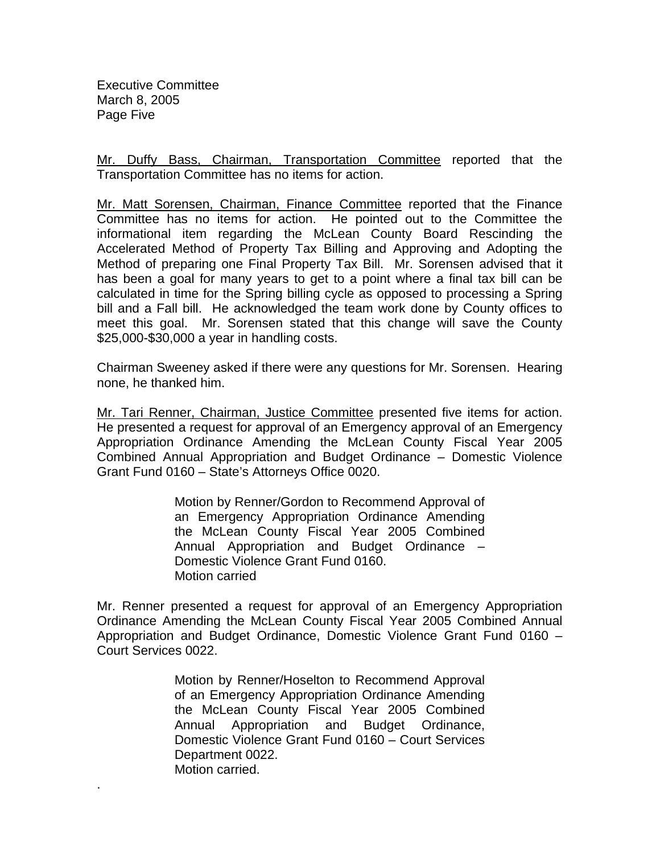Executive Committee March 8, 2005 Page Five

.

Mr. Duffy Bass, Chairman, Transportation Committee reported that the Transportation Committee has no items for action.

Mr. Matt Sorensen, Chairman, Finance Committee reported that the Finance Committee has no items for action. He pointed out to the Committee the informational item regarding the McLean County Board Rescinding the Accelerated Method of Property Tax Billing and Approving and Adopting the Method of preparing one Final Property Tax Bill. Mr. Sorensen advised that it has been a goal for many years to get to a point where a final tax bill can be calculated in time for the Spring billing cycle as opposed to processing a Spring bill and a Fall bill. He acknowledged the team work done by County offices to meet this goal. Mr. Sorensen stated that this change will save the County \$25,000-\$30,000 a year in handling costs.

Chairman Sweeney asked if there were any questions for Mr. Sorensen. Hearing none, he thanked him.

Mr. Tari Renner, Chairman, Justice Committee presented five items for action. He presented a request for approval of an Emergency approval of an Emergency Appropriation Ordinance Amending the McLean County Fiscal Year 2005 Combined Annual Appropriation and Budget Ordinance – Domestic Violence Grant Fund 0160 – State's Attorneys Office 0020.

> Motion by Renner/Gordon to Recommend Approval of an Emergency Appropriation Ordinance Amending the McLean County Fiscal Year 2005 Combined Annual Appropriation and Budget Ordinance – Domestic Violence Grant Fund 0160. Motion carried

Mr. Renner presented a request for approval of an Emergency Appropriation Ordinance Amending the McLean County Fiscal Year 2005 Combined Annual Appropriation and Budget Ordinance, Domestic Violence Grant Fund 0160 – Court Services 0022.

> Motion by Renner/Hoselton to Recommend Approval of an Emergency Appropriation Ordinance Amending the McLean County Fiscal Year 2005 Combined Annual Appropriation and Budget Ordinance, Domestic Violence Grant Fund 0160 – Court Services Department 0022. Motion carried.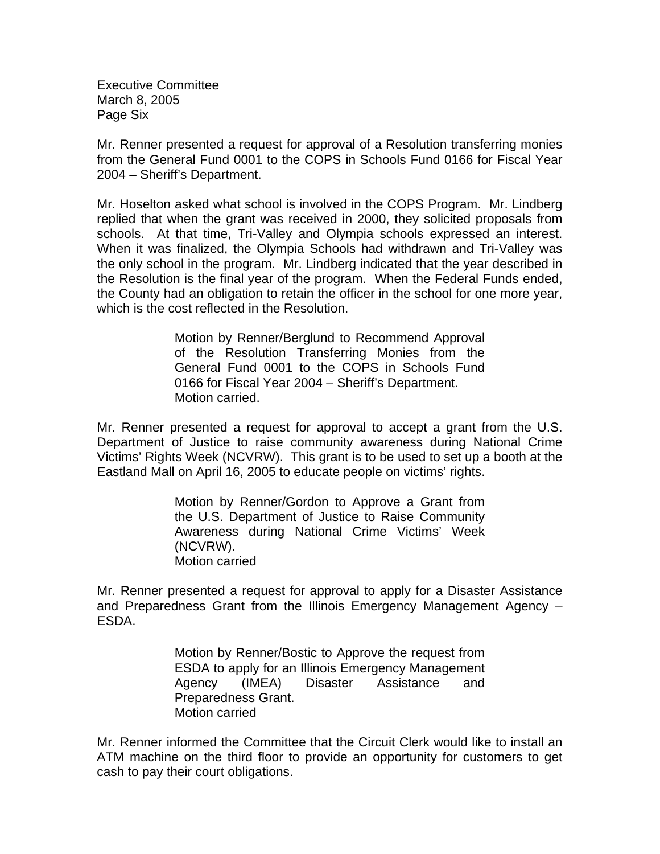Executive Committee March 8, 2005 Page Six

Mr. Renner presented a request for approval of a Resolution transferring monies from the General Fund 0001 to the COPS in Schools Fund 0166 for Fiscal Year 2004 – Sheriff's Department.

Mr. Hoselton asked what school is involved in the COPS Program. Mr. Lindberg replied that when the grant was received in 2000, they solicited proposals from schools. At that time, Tri-Valley and Olympia schools expressed an interest. When it was finalized, the Olympia Schools had withdrawn and Tri-Valley was the only school in the program. Mr. Lindberg indicated that the year described in the Resolution is the final year of the program. When the Federal Funds ended, the County had an obligation to retain the officer in the school for one more year, which is the cost reflected in the Resolution.

> Motion by Renner/Berglund to Recommend Approval of the Resolution Transferring Monies from the General Fund 0001 to the COPS in Schools Fund 0166 for Fiscal Year 2004 – Sheriff's Department. Motion carried.

Mr. Renner presented a request for approval to accept a grant from the U.S. Department of Justice to raise community awareness during National Crime Victims' Rights Week (NCVRW). This grant is to be used to set up a booth at the Eastland Mall on April 16, 2005 to educate people on victims' rights.

> Motion by Renner/Gordon to Approve a Grant from the U.S. Department of Justice to Raise Community Awareness during National Crime Victims' Week (NCVRW). Motion carried

Mr. Renner presented a request for approval to apply for a Disaster Assistance and Preparedness Grant from the Illinois Emergency Management Agency – ESDA.

> Motion by Renner/Bostic to Approve the request from ESDA to apply for an Illinois Emergency Management Agency (IMEA) Disaster Assistance and Preparedness Grant. Motion carried

Mr. Renner informed the Committee that the Circuit Clerk would like to install an ATM machine on the third floor to provide an opportunity for customers to get cash to pay their court obligations.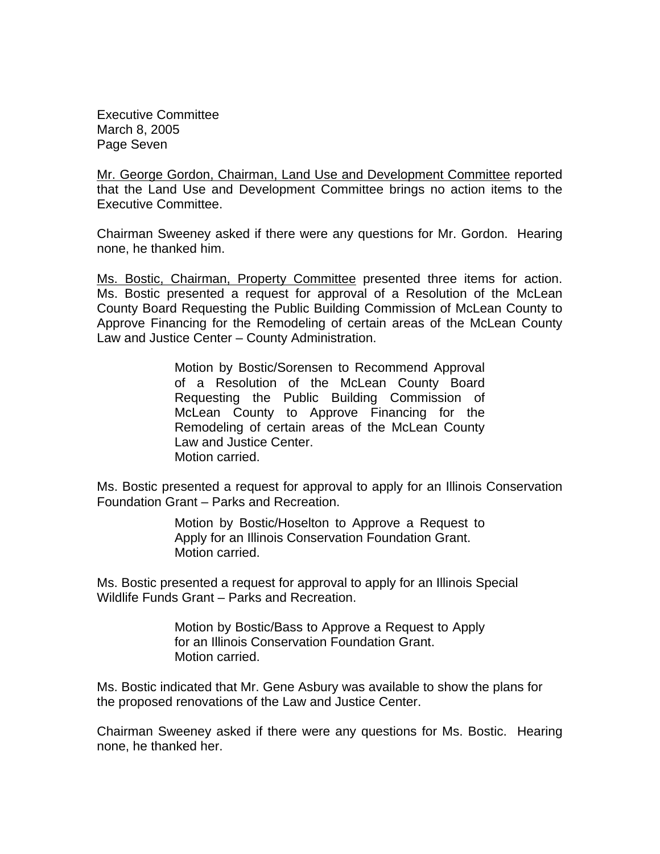Executive Committee March 8, 2005 Page Seven

Mr. George Gordon, Chairman, Land Use and Development Committee reported that the Land Use and Development Committee brings no action items to the Executive Committee.

Chairman Sweeney asked if there were any questions for Mr. Gordon. Hearing none, he thanked him.

Ms. Bostic, Chairman, Property Committee presented three items for action. Ms. Bostic presented a request for approval of a Resolution of the McLean County Board Requesting the Public Building Commission of McLean County to Approve Financing for the Remodeling of certain areas of the McLean County Law and Justice Center – County Administration.

> Motion by Bostic/Sorensen to Recommend Approval of a Resolution of the McLean County Board Requesting the Public Building Commission of McLean County to Approve Financing for the Remodeling of certain areas of the McLean County Law and Justice Center. Motion carried.

Ms. Bostic presented a request for approval to apply for an Illinois Conservation Foundation Grant – Parks and Recreation.

> Motion by Bostic/Hoselton to Approve a Request to Apply for an Illinois Conservation Foundation Grant. Motion carried.

Ms. Bostic presented a request for approval to apply for an Illinois Special Wildlife Funds Grant – Parks and Recreation.

> Motion by Bostic/Bass to Approve a Request to Apply for an Illinois Conservation Foundation Grant. Motion carried.

Ms. Bostic indicated that Mr. Gene Asbury was available to show the plans for the proposed renovations of the Law and Justice Center.

Chairman Sweeney asked if there were any questions for Ms. Bostic. Hearing none, he thanked her.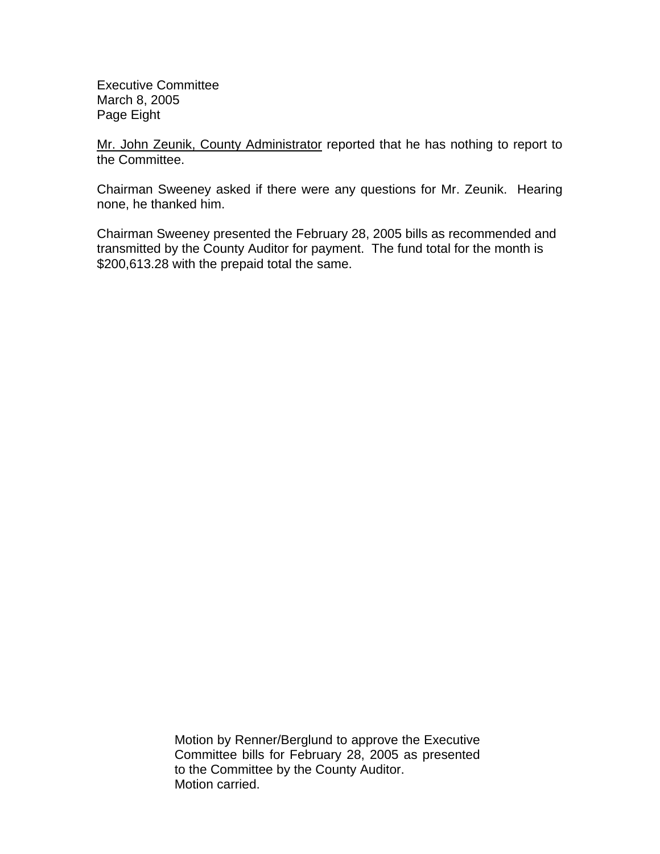Executive Committee March 8, 2005 Page Eight

Mr. John Zeunik, County Administrator reported that he has nothing to report to the Committee.

Chairman Sweeney asked if there were any questions for Mr. Zeunik. Hearing none, he thanked him.

Chairman Sweeney presented the February 28, 2005 bills as recommended and transmitted by the County Auditor for payment. The fund total for the month is \$200,613.28 with the prepaid total the same.

> Motion by Renner/Berglund to approve the Executive Committee bills for February 28, 2005 as presented to the Committee by the County Auditor. Motion carried.